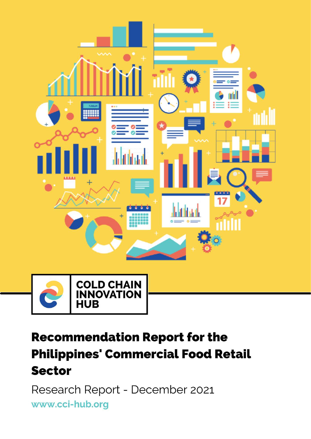

# **Recommendation Report for the Philippines' Commercial Food Retail Sector**

Research Report - December 2021 www.cci-hub.org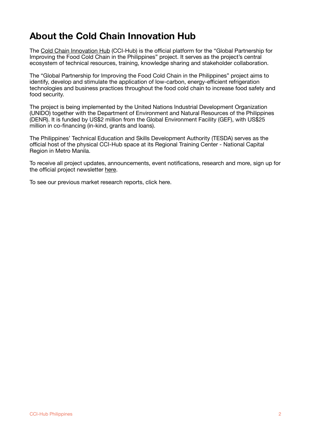## <span id="page-1-0"></span>**About the Cold Chain Innovation Hub**

The [Cold Chain Innovation Hub](https://cci-hub.org/) (CCI-Hub) is the official platform for the "Global Partnership for Improving the Food Cold Chain in the Philippines" project. It serves as the project's central ecosystem of technical resources, training, knowledge sharing and stakeholder collaboration.

The "Global Partnership for Improving the Food Cold Chain in the Philippines" project aims to identify, develop and stimulate the application of low-carbon, energy-efficient refrigeration technologies and business practices throughout the food cold chain to increase food safety and food security.

The project is being implemented by the United Nations Industrial Development Organization (UNIDO) together with the Department of Environment and Natural Resources of the Philippines (DENR). It is funded by US\$2 million from the Global Environment Facility (GEF), with US\$25 million in co-financing (in-kind, grants and loans).

The Philippines' Technical Education and Skills Development Authority (TESDA) serves as the official host of the physical CCI-Hub space at its Regional Training Center - National Capital Region in Metro Manila.

To receive all project updates, announcements, event notifications, research and more, sign up for the official project newsletter [here](https://cci-hub.org/newsletter/).

To see our previous market research reports, click here.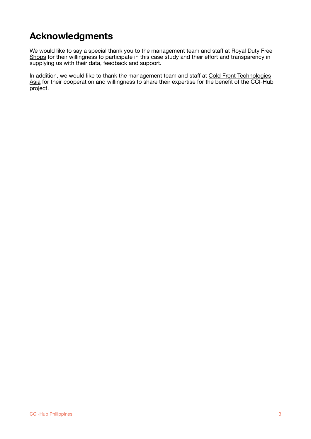## <span id="page-2-0"></span>**Acknowledgments**

We would like to say a special thank you to the management team and staff at Royal Duty Free [Shops](https://royalsubic.com/) for their willingness to participate in this case study and their effort and transparency in supplying us with their data, feedback and support.

In addition, we would like to thank the management team and staff at Cold Front Technologies [Asia](https://coldfront.com.ph/) for their cooperation and willingness to share their expertise for the benefit of the CCI-Hub project.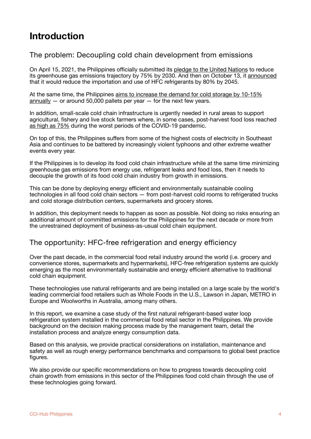## <span id="page-3-0"></span>**Introduction**

#### The problem: Decoupling cold chain development from emissions

On April 15, 2021, the Philippines officially submitted its [pledge to the United Nations](https://www4.unfccc.int/sites/ndcstaging/PublishedDocuments/Philippines%20First/Philippines%20-%20NDC.pdf) to reduce its greenhouse gas emissions trajectory by 75% by 2030. And then on October 13, it [announced](https://pod.emb.gov.ph/wp-content/uploads/2021/10/DAO_2021-31_Chemical-Control-Order-for-HFCs.pdf) that it would reduce the importation and use of HFC refrigerants by 80% by 2045.

At the same time, the Philippines aims to increase the demand for cold storage by 10-15% [annually](https://cci-hub.org/wp-content/uploads/2021/09/10-page-Executive-Summary-of-the-Cold-Chain-Industry-Roadmap.pdf)  $-$  or around 50,000 pallets per year  $-$  for the next few years.

In addition, small-scale cold chain infrastructure is urgently needed in rural areas to support agricultural, fishery and live stock farmers where, in some cases, post-harvest food loss reached [as high as 75%](https://youtu.be/I4wlaaMRvFU?t=546) during the worst periods of the COVID-19 pandemic.

On top of this, the Philippines suffers from some of the highest costs of electricity in Southeast Asia and continues to be battered by increasingly violent typhoons and other extreme weather events every year.

If the Philippines is to develop its food cold chain infrastructure while at the same time minimizing greenhouse gas emissions from energy use, refrigerant leaks and food loss, then it needs to decouple the growth of its food cold chain industry from growth in emissions.

This can be done by deploying energy efficient and environmentally sustainable cooling technologies in all food cold chain sectors — from post-harvest cold rooms to refrigerated trucks and cold storage distribution centers, supermarkets and grocery stores.

In addition, this deployment needs to happen as soon as possible. Not doing so risks ensuring an additional amount of committed emissions for the Philippines for the next decade or more from the unrestrained deployment of business-as-usual cold chain equipment.

#### The opportunity: HFC-free refrigeration and energy efficiency

Over the past decade, in the commercial food retail industry around the world (i.e. grocery and convenience stores, supermarkets and hypermarkets), HFC-free refrigeration systems are quickly emerging as the most environmentally sustainable and energy efficient alternative to traditional cold chain equipment.

These technologies use natural refrigerants and are being installed on a large scale by the world's leading commercial food retailers such as Whole Foods in the U.S., Lawson in Japan, METRO in Europe and Woolworths in Australia, among many others.

In this report, we examine a case study of the first natural refrigerant-based water loop refrigeration system installed in the commercial food retail sector in the Philippines. We provide background on the decision making process made by the management team, detail the installation process and analyze energy consumption data.

Based on this analysis, we provide practical considerations on installation, maintenance and safety as well as rough energy performance benchmarks and comparisons to global best practice figures.

We also provide our specific recommendations on how to progress towards decoupling cold chain growth from emissions in this sector of the Philippines food cold chain through the use of these technologies going forward.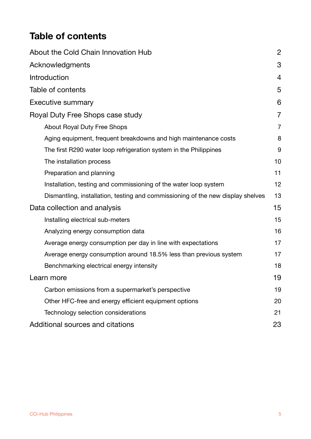## <span id="page-4-0"></span>**Table of contents**

| About the Cold Chain Innovation Hub                                             | $\overline{2}$ |
|---------------------------------------------------------------------------------|----------------|
| Acknowledgments                                                                 | 3              |
| Introduction                                                                    | 4              |
| Table of contents                                                               | 5              |
| <b>Executive summary</b>                                                        | 6              |
| Royal Duty Free Shops case study                                                | $\overline{7}$ |
| <b>About Royal Duty Free Shops</b>                                              | 7              |
| Aging equipment, frequent breakdowns and high maintenance costs                 | 8              |
| The first R290 water loop refrigeration system in the Philippines               | 9              |
| The installation process                                                        | 10             |
| Preparation and planning                                                        | 11             |
| Installation, testing and commissioning of the water loop system                | 12             |
| Dismantling, installation, testing and commissioning of the new display shelves | 13             |
| Data collection and analysis                                                    | 15             |
| Installing electrical sub-meters                                                | 15             |
| Analyzing energy consumption data                                               | 16             |
| Average energy consumption per day in line with expectations                    | 17             |
| Average energy consumption around 18.5% less than previous system               | 17             |
| Benchmarking electrical energy intensity                                        | 18             |
| Learn more                                                                      | 19             |
| Carbon emissions from a supermarket's perspective                               | 19             |
| Other HFC-free and energy efficient equipment options                           | 20             |
| Technology selection considerations                                             | 21             |
| Additional sources and citations                                                | 23             |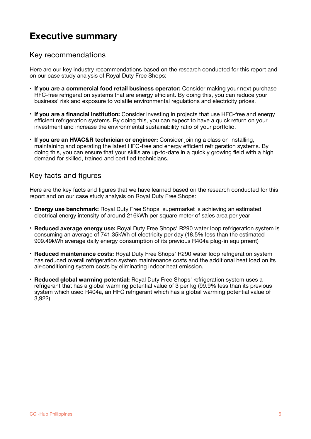## <span id="page-5-0"></span>**Executive summary**

#### Key recommendations

Here are our key industry recommendations based on the research conducted for this report and on our case study analysis of Royal Duty Free Shops:

- **If you are a commercial food retail business operator:** Consider making your next purchase HFC-free refrigeration systems that are energy efficient. By doing this, you can reduce your business' risk and exposure to volatile environmental regulations and electricity prices.
- **If you are a financial institution:** Consider investing in projects that use HFC-free and energy efficient refrigeration systems. By doing this, you can expect to have a quick return on your investment and increase the environmental sustainability ratio of your portfolio.
- **If you are an HVAC&R technician or engineer:** Consider joining a class on installing, maintaining and operating the latest HFC-free and energy efficient refrigeration systems. By doing this, you can ensure that your skills are up-to-date in a quickly growing field with a high demand for skilled, trained and certified technicians.

#### Key facts and figures

Here are the key facts and figures that we have learned based on the research conducted for this report and on our case study analysis on Royal Duty Free Shops:

- **Energy use benchmark:** Royal Duty Free Shops' supermarket is achieving an estimated electrical energy intensity of around 216kWh per square meter of sales area per year
- **Reduced average energy use:** Royal Duty Free Shops' R290 water loop refrigeration system is consuming an average of 741.35kWh of electricity per day (18.5% less than the estimated 909.49kWh average daily energy consumption of its previous R404a plug-in equipment)
- **Reduced maintenance costs:** Royal Duty Free Shops' R290 water loop refrigeration system has reduced overall refrigeration system maintenance costs and the additional heat load on its air-conditioning system costs by eliminating indoor heat emission.
- **Reduced global warming potential:** Royal Duty Free Shops' refrigeration system uses a refrigerant that has a global warming potential value of 3 per kg (99.9% less than its previous system which used R404a, an HFC refrigerant which has a global warming potential value of 3,922)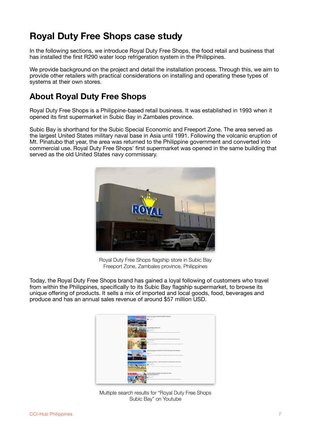## <span id="page-6-0"></span>**Royal Duty Free Shops case study**

In the following sections, we introduce Royal Duty Free Shops, the food retail and business that has installed the first R290 water loop refrigeration system in the Philippines.

We provide background on the project and detail the installation process. Through this, we aim to provide other retailers with practical considerations on installing and operating these types of systems at their own stores.

### <span id="page-6-1"></span>**About Royal Duty Free Shops**

Royal Duty Free Shops is a Philippine-based retail business. It was established in 1993 when it opened its first supermarket in Subic Bay in Zambales province.

Subic Bay is shorthand for the Subic Special Economic and Freeport Zone. The area served as the largest United States military naval base in Asia until 1991. Following the volcanic eruption of Mt. Pinatubo that year, the area was returned to the Philippine government and converted into commercial use. Royal Duty Free Shops' first supermarket was opened in the same building that served as the old United States navy commissary.



Royal Duty Free Shops flagship store in Subic Bay Freeport Zone, Zambales province, Philippines

Today, the Royal Duty Free Shops brand has gained a loyal following of customers who travel from within the Philippines, specifically to its Subic Bay flagship supermarket, to browse its unique offering of products. It sells a mix of imported and local goods, food, beverages and produce and has an annual sales revenue of around \$57 million USD.



Multiple search results for "Royal Duty Free Shops Subic Bay" on Youtube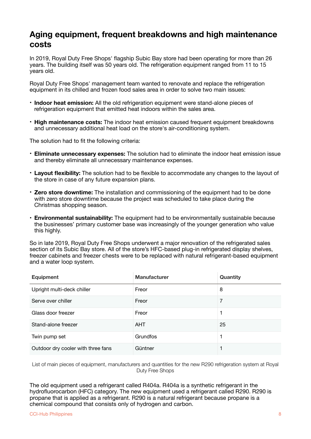#### <span id="page-7-0"></span>**Aging equipment, frequent breakdowns and high maintenance costs**

In 2019, Royal Duty Free Shops' flagship Subic Bay store had been operating for more than 26 years. The building itself was 50 years old. The refrigeration equipment ranged from 11 to 15 years old.

Royal Duty Free Shops' management team wanted to renovate and replace the refrigeration equipment in its chilled and frozen food sales area in order to solve two main issues:

- **Indoor heat emission:** All the old refrigeration equipment were stand-alone pieces of refrigeration equipment that emitted heat indoors within the sales area.
- **High maintenance costs:** The indoor heat emission caused frequent equipment breakdowns and unnecessary additional heat load on the store's air-conditioning system.

The solution had to fit the following criteria:

- **Eliminate unnecessary expenses:** The solution had to eliminate the indoor heat emission issue and thereby eliminate all unnecessary maintenance expenses.
- **Layout flexibility:** The solution had to be flexible to accommodate any changes to the layout of the store in case of any future expansion plans.
- **Zero store downtime:** The installation and commissioning of the equipment had to be done with zero store downtime because the project was scheduled to take place during the Christmas shopping season.
- **Environmental sustainability:** The equipment had to be environmentally sustainable because the businesses' primary customer base was increasingly of the younger generation who value this highly.

So in late 2019, Royal Duty Free Shops underwent a major renovation of the refrigerated sales section of its Subic Bay store. All of the store's HFC-based plug-in refrigerated display shelves, freezer cabinets and freezer chests were to be replaced with natural refrigerant-based equipment and a water loop system.

| <b>Equipment</b>                   | <b>Manufacturer</b> | Quantity |
|------------------------------------|---------------------|----------|
| Upright multi-deck chiller         | Freor               | 8        |
| Serve over chiller                 | Freor               | 7        |
| Glass door freezer                 | Freor               |          |
| Stand-alone freezer                | <b>AHT</b>          | 25       |
| Twin pump set                      | Grundfos            |          |
| Outdoor dry cooler with three fans | Güntner             |          |

List of main pieces of equipment, manufacturers and quantities for the new R290 refrigeration system at Royal Duty Free Shops

The old equipment used a refrigerant called R404a. R404a is a synthetic refrigerant in the hydrofluorocarbon (HFC) category. The new equipment used a refrigerant called R290. R290 is propane that is applied as a refrigerant. R290 is a natural refrigerant because propane is a chemical compound that consists only of hydrogen and carbon.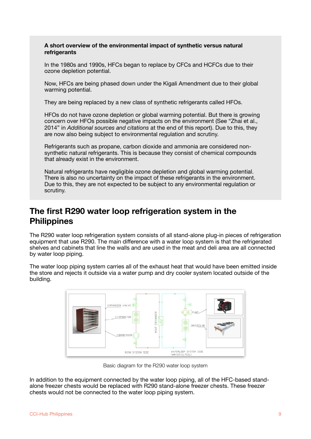#### **A short overview of the environmental impact of synthetic versus natural refrigerants**

In the 1980s and 1990s, HFCs began to replace by CFCs and HCFCs due to their ozone depletion potential.

Now, HFCs are being phased down under the Kigali Amendment due to their global warming potential.

They are being replaced by a new class of synthetic refrigerants called HFOs.

HFOs do not have ozone depletion or global warming potential. But there is growing concern over HFOs possible negative impacts on the environment (See "Zhai et al., 2014" in *Additional sources and citations* at the end of this report). Due to this, they are now also being subject to environmental regulation and scrutiny.

Refrigerants such as propane, carbon dioxide and ammonia are considered nonsynthetic natural refrigerants. This is because they consist of chemical compounds that already exist in the environment.

Natural refrigerants have negligible ozone depletion and global warming potential. There is also no uncertainty on the impact of these refrigerants in the environment. Due to this, they are not expected to be subject to any environmental regulation or scrutiny.

### <span id="page-8-0"></span>**The first R290 water loop refrigeration system in the Philippines**

The R290 water loop refrigeration system consists of all stand-alone plug-in pieces of refrigeration equipment that use R290. The main difference with a water loop system is that the refrigerated shelves and cabinets that line the walls and are used in the meat and deli area are all connected by water loop piping.

The water loop piping system carries all of the exhaust heat that would have been emitted inside the store and rejects it outside via a water pump and dry cooler system located outside of the building.



Basic diagram for the R290 water loop system

In addition to the equipment connected by the water loop piping, all of the HFC-based standalone freezer chests would be replaced with R290 stand-alone freezer chests. These freezer chests would not be connected to the water loop piping system.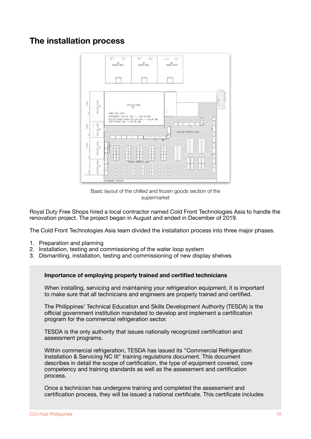### <span id="page-9-0"></span>**The installation process**



Basic layout of the chilled and frozen goods section of the supermarket

Royal Duty Free Shops hired a local contractor named Cold Front Technologies Asia to handle the renovation project. The project began in August and ended in December of 2019.

The Cold Front Technologies Asia team divided the installation process into three major phases.

- 1. Preparation and planning
- 2. Installation, testing and commissioning of the water loop system
- 3. Dismantling, installation, testing and commissioning of new display shelves

#### **Importance of employing properly trained and certified technicians**

When installing, servicing and maintaining your refrigeration equipment, it is important to make sure that all technicians and engineers are properly trained and certified.

The Philippines' Technical Education and Skills Development Authority (TESDA) is the official government institution mandated to develop and implement a certification program for the commercial refrigeration sector.

TESDA is the only authority that issues nationally recognized certification and assessment programs.

Within commercial refrigeration, TESDA has issued its "Commercial Refrigeration Installation & Servicing NC III" training regulations document. This document describes in detail the scope of certification, the type of equipment covered, core competency and training standards as well as the assessment and certification process.

Once a technician has undergone training and completed the assessment and certification process, they will be issued a national certificate. This certificate includes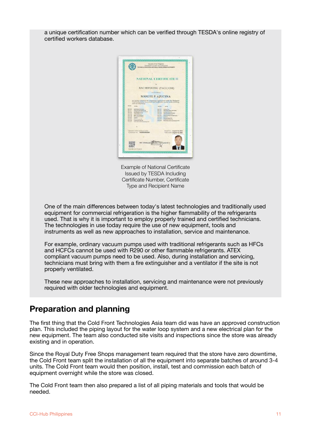a unique certification number which can be verified through TESDA's online registry of certified workers database.



Example of National Certificate Issued by TESDA Including Certificate Number, Certificate Type and Recipient Name

One of the main differences between today's latest technologies and traditionally used equipment for commercial refrigeration is the higher flammability of the refrigerants used. That is why it is important to employ properly trained and certified technicians. The technologies in use today require the use of new equipment, tools and instruments as well as new approaches to installation, service and maintenance.

For example, ordinary vacuum pumps used with traditional refrigerants such as HFCs and HCFCs cannot be used with R290 or other flammable refrigerants. ATEX compliant vacuum pumps need to be used. Also, during installation and servicing, technicians must bring with them a fire extinguisher and a ventilator if the site is not properly ventilated.

These new approaches to installation, servicing and maintenance were not previously required with older technologies and equipment.

### <span id="page-10-0"></span>**Preparation and planning**

The first thing that the Cold Front Technologies Asia team did was have an approved construction plan. This included the piping layout for the water loop system and a new electrical plan for the new equipment. The team also conducted site visits and inspections since the store was already existing and in operation.

Since the Royal Duty Free Shops management team required that the store have zero downtime, the Cold Front team split the installation of all the equipment into separate batches of around 3-4 units. The Cold Front team would then position, install, test and commission each batch of equipment overnight while the store was closed.

The Cold Front team then also prepared a list of all piping materials and tools that would be needed.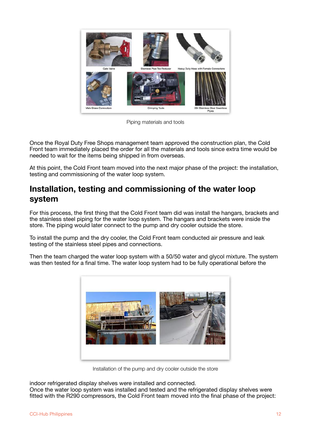

Piping materials and tools

Once the Royal Duty Free Shops management team approved the construction plan, the Cold Front team immediately placed the order for all the materials and tools since extra time would be needed to wait for the items being shipped in from overseas.

At this point, the Cold Front team moved into the next major phase of the project: the installation, testing and commissioning of the water loop system.

### <span id="page-11-0"></span>**Installation, testing and commissioning of the water loop system**

For this process, the first thing that the Cold Front team did was install the hangars, brackets and the stainless steel piping for the water loop system. The hangars and brackets were inside the store. The piping would later connect to the pump and dry cooler outside the store.

To install the pump and the dry cooler, the Cold Front team conducted air pressure and leak testing of the stainless steel pipes and connections.

Then the team charged the water loop system with a 50/50 water and glycol mixture. The system was then tested for a final time. The water loop system had to be fully operational before the



Installation of the pump and dry cooler outside the store

indoor refrigerated display shelves were installed and connected.

Once the water loop system was installed and tested and the refrigerated display shelves were fitted with the R290 compressors, the Cold Front team moved into the final phase of the project: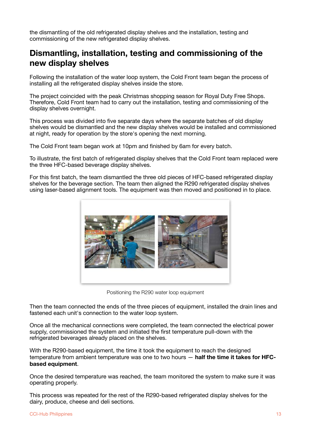the dismantling of the old refrigerated display shelves and the installation, testing and commissioning of the new refrigerated display shelves.

#### <span id="page-12-0"></span>**Dismantling, installation, testing and commissioning of the new display shelves**

Following the installation of the water loop system, the Cold Front team began the process of installing all the refrigerated display shelves inside the store.

The project coincided with the peak Christmas shopping season for Royal Duty Free Shops. Therefore, Cold Front team had to carry out the installation, testing and commissioning of the display shelves overnight.

This process was divided into five separate days where the separate batches of old display shelves would be dismantled and the new display shelves would be installed and commissioned at night, ready for operation by the store's opening the next morning.

The Cold Front team began work at 10pm and finished by 6am for every batch.

To illustrate, the first batch of refrigerated display shelves that the Cold Front team replaced were the three HFC-based beverage display shelves.

For this first batch, the team dismantled the three old pieces of HFC-based refrigerated display shelves for the beverage section. The team then aligned the R290 refrigerated display shelves using laser-based alignment tools. The equipment was then moved and positioned in to place.



Positioning the R290 water loop equipment

Then the team connected the ends of the three pieces of equipment, installed the drain lines and fastened each unit's connection to the water loop system.

Once all the mechanical connections were completed, the team connected the electrical power supply, commissioned the system and initiated the first temperature pull-down with the refrigerated beverages already placed on the shelves.

With the R290-based equipment, the time it took the equipment to reach the designed temperature from ambient temperature was one to two hours — **half the time it takes for HFCbased equipment**.

Once the desired temperature was reached, the team monitored the system to make sure it was operating properly.

This process was repeated for the rest of the R290-based refrigerated display shelves for the dairy, produce, cheese and deli sections.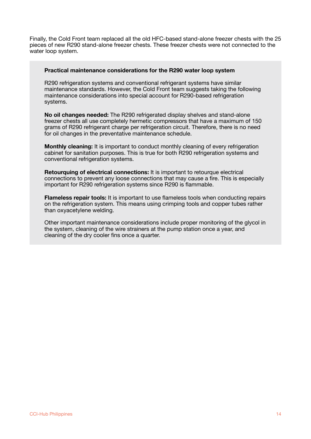Finally, the Cold Front team replaced all the old HFC-based stand-alone freezer chests with the 25 pieces of new R290 stand-alone freezer chests. These freezer chests were not connected to the water loop system.

#### **Practical maintenance considerations for the R290 water loop system**

R290 refrigeration systems and conventional refrigerant systems have similar maintenance standards. However, the Cold Front team suggests taking the following maintenance considerations into special account for R290-based refrigeration systems.

**No oil changes needed:** The R290 refrigerated display shelves and stand-alone freezer chests all use completely hermetic compressors that have a maximum of 150 grams of R290 refrigerant charge per refrigeration circuit. Therefore, there is no need for oil changes in the preventative maintenance schedule.

**Monthly cleaning:** It is important to conduct monthly cleaning of every refrigeration cabinet for sanitation purposes. This is true for both R290 refrigeration systems and conventional refrigeration systems.

**Retourquing of electrical connections:** It is important to retourque electrical connections to prevent any loose connections that may cause a fire. This is especially important for R290 refrigeration systems since R290 is flammable.

**Flameless repair tools:** It is important to use flameless tools when conducting repairs on the refrigeration system. This means using crimping tools and copper tubes rather than oxyacetylene welding.

Other important maintenance considerations include proper monitoring of the glycol in the system, cleaning of the wire strainers at the pump station once a year, and cleaning of the dry cooler fins once a quarter.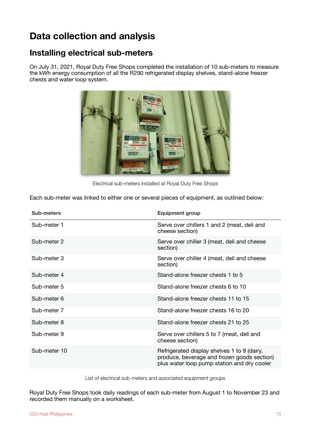## <span id="page-14-0"></span>**Data collection and analysis**

### <span id="page-14-1"></span>**Installing electrical sub-meters**

On July 31, 2021, Royal Duty Free Shops completed the installation of 10 sub-meters to measure the kWh energy consumption of all the R290 refrigerated display shelves, stand-alone freezer chests and water loop system.



Electrical sub-meters installed at Royal Duty Free Shops

Each sub-meter was linked to either one or several pieces of equipment, as outlined below:

| <b>Sub-meters</b> | <b>Equipment group</b>                                                                                                                    |
|-------------------|-------------------------------------------------------------------------------------------------------------------------------------------|
| Sub-meter 1       | Serve over chillers 1 and 2 (meat, deli and<br>cheese section)                                                                            |
| Sub-meter 2       | Serve over chiller 3 (meat, deli and cheese<br>section)                                                                                   |
| Sub-meter 3       | Serve over chiller 4 (meat, deli and cheese<br>section)                                                                                   |
| Sub-meter 4       | Stand-alone freezer chests 1 to 5                                                                                                         |
| Sub-meter 5       | Stand-alone freezer chests 6 to 10                                                                                                        |
| Sub-meter 6       | Stand-alone freezer chests 11 to 15                                                                                                       |
| Sub-meter 7       | Stand-alone freezer chests 16 to 20                                                                                                       |
| Sub-meter 8       | Stand-alone freezer chests 21 to 25                                                                                                       |
| Sub-meter 9       | Serve over chillers 5 to 7 (meat, deli and<br>cheese section)                                                                             |
| Sub-meter 10      | Refrigerated display shelves 1 to 9 (dairy,<br>produce, beverage and frozen goods section)<br>plus water loop pump station and dry cooler |

List of electrical sub-meters and associated equipment groups

Royal Duty Free Shops took daily readings of each sub-meter from August 1 to November 23 and recorded them manually on a worksheet.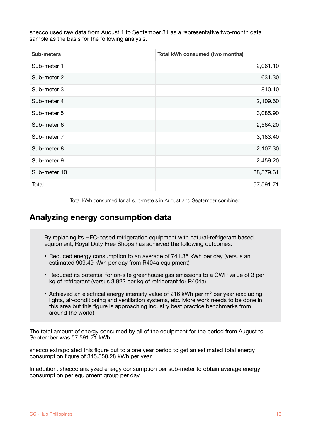shecco used raw data from August 1 to September 31 as a representative two-month data sample as the basis for the following analysis.

| <b>Sub-meters</b> | <b>Total kWh consumed (two months)</b> |
|-------------------|----------------------------------------|
| Sub-meter 1       | 2,061.10                               |
| Sub-meter 2       | 631.30                                 |
| Sub-meter 3       | 810.10                                 |
| Sub-meter 4       | 2,109.60                               |
| Sub-meter 5       | 3,085.90                               |
| Sub-meter 6       | 2,564.20                               |
| Sub-meter 7       | 3,183.40                               |
| Sub-meter 8       | 2,107.30                               |
| Sub-meter 9       | 2,459.20                               |
| Sub-meter 10      | 38,579.61                              |
| Total             | 57,591.71                              |

Total kWh consumed for all sub-meters in August and September combined

#### <span id="page-15-0"></span>**Analyzing energy consumption data**

By replacing its HFC-based refrigeration equipment with natural-refrigerant based equipment, Royal Duty Free Shops has achieved the following outcomes:

- Reduced energy consumption to an average of 741.35 kWh per day (versus an estimated 909.49 kWh per day from R404a equipment)
- Reduced its potential for on-site greenhouse gas emissions to a GWP value of 3 per kg of refrigerant (versus 3,922 per kg of refrigerant for R404a)
- Achieved an electrical energy intensity value of 216 kWh per  $m<sup>2</sup>$  per year (excluding lights, air-conditioning and ventilation systems, etc. More work needs to be done in this area but this figure is approaching industry best practice benchmarks from around the world)

The total amount of energy consumed by all of the equipment for the period from August to September was 57,591.71 kWh.

shecco extrapolated this figure out to a one year period to get an estimated total energy consumption figure of 345,550.28 kWh per year.

In addition, shecco analyzed energy consumption per sub-meter to obtain average energy consumption per equipment group per day.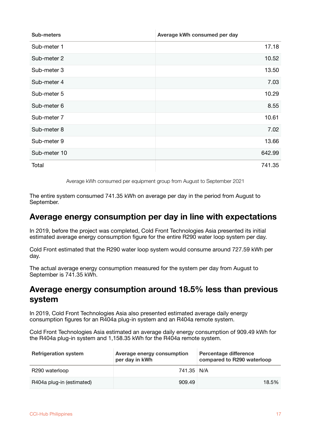| <b>Sub-meters</b> | Average kWh consumed per day |
|-------------------|------------------------------|
| Sub-meter 1       | 17.18                        |
| Sub-meter 2       | 10.52                        |
| Sub-meter 3       | 13.50                        |
| Sub-meter 4       | 7.03                         |
| Sub-meter 5       | 10.29                        |
| Sub-meter 6       | 8.55                         |
| Sub-meter 7       | 10.61                        |
| Sub-meter 8       | 7.02                         |
| Sub-meter 9       | 13.66                        |
| Sub-meter 10      | 642.99                       |
| Total             | 741.35                       |

Average kWh consumed per equipment group from August to September 2021

The entire system consumed 741.35 kWh on average per day in the period from August to September.

#### <span id="page-16-0"></span>**Average energy consumption per day in line with expectations**

In 2019, before the project was completed, Cold Front Technologies Asia presented its initial estimated average energy consumption figure for the entire R290 water loop system per day.

Cold Front estimated that the R290 water loop system would consume around 727.59 kWh per day.

The actual average energy consumption measured for the system per day from August to September is 741.35 kWh.

### <span id="page-16-1"></span>**Average energy consumption around 18.5% less than previous system**

In 2019, Cold Front Technologies Asia also presented estimated average daily energy consumption figures for an R404a plug-in system and an R404a remote system.

Cold Front Technologies Asia estimated an average daily energy consumption of 909.49 kWh for the R404a plug-in system and 1,158.35 kWh for the R404a remote system.

| <b>Refrigeration system</b> | Average energy consumption<br>per day in kWh | Percentage difference<br>compared to R290 waterloop |  |
|-----------------------------|----------------------------------------------|-----------------------------------------------------|--|
| R290 waterloop              | 741.35 N/A                                   |                                                     |  |
| R404a plug-in (estimated)   | 909.49                                       | 18.5%                                               |  |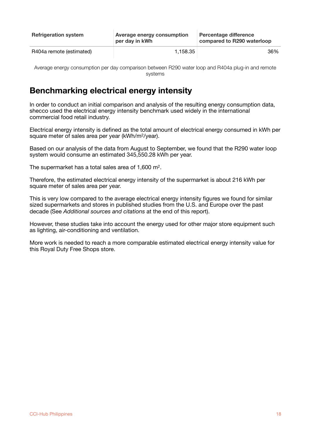| <b>Refrigeration system</b> | <b>Average energy consumption</b><br>per day in kWh | <b>Percentage difference</b><br>compared to R290 waterloop |  |
|-----------------------------|-----------------------------------------------------|------------------------------------------------------------|--|
| R404a remote (estimated)    | 1.158.35                                            | 36%                                                        |  |

Average energy consumption per day comparison between R290 water loop and R404a plug-in and remote systems

### <span id="page-17-0"></span>**Benchmarking electrical energy intensity**

In order to conduct an initial comparison and analysis of the resulting energy consumption data, shecco used the electrical energy intensity benchmark used widely in the international commercial food retail industry.

Electrical energy intensity is defined as the total amount of electrical energy consumed in kWh per square meter of sales area per year (kWh/m2/year).

Based on our analysis of the data from August to September, we found that the R290 water loop system would consume an estimated 345,550.28 kWh per year.

The supermarket has a total sales area of 1,600 m2.

Therefore, the estimated electrical energy intensity of the supermarket is about 216 kWh per square meter of sales area per year.

This is very low compared to the average electrical energy intensity figures we found for similar sized supermarkets and stores in published studies from the U.S. and Europe over the past decade (See *Additional sources and citations* at the end of this report).

However, these studies take into account the energy used for other major store equipment such as lighting, air-conditioning and ventilation.

More work is needed to reach a more comparable estimated electrical energy intensity value for this Royal Duty Free Shops store.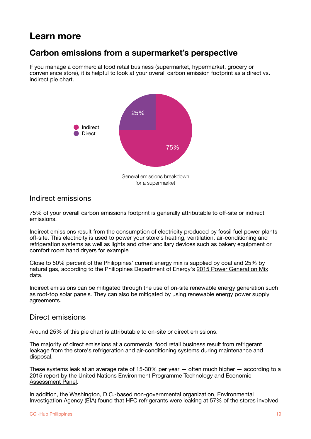## <span id="page-18-0"></span>**Learn more**

### <span id="page-18-1"></span>**Carbon emissions from a supermarket's perspective**

If you manage a commercial food retail business (supermarket, hypermarket, grocery or convenience store), it is helpful to look at your overall carbon emission footprint as a direct vs. indirect pie chart.



#### Indirect emissions

75% of your overall carbon emissions footprint is generally attributable to off-site or indirect emissions.

Indirect emissions result from the consumption of electricity produced by fossil fuel power plants off-site. This electricity is used to power your store's heating, ventilation, air-conditioning and refrigeration systems as well as lights and other ancillary devices such as bakery equipment or comfort room hand dryers for example

Close to 50% percent of the Philippines' current energy mix is supplied by coal and 25% by natural gas, according to the Philippines Department of Energy's [2015 Power Generation Mix](https://www.doe.gov.ph/energy-statistics?q=energy-resources/powermix&withshield=1)  [data](https://www.doe.gov.ph/energy-statistics?q=energy-resources/powermix&withshield=1).

Indirect emissions can be mitigated through the use of on-site renewable energy generation such as roof-top solar panels. They can also be mitigated by using renewable energy [power supply](https://www.doe.gov.ph/sites/default/files/pdf/e_ipo/leif_2014_2.pdf)  [agreements.](https://www.doe.gov.ph/sites/default/files/pdf/e_ipo/leif_2014_2.pdf)

#### Direct emissions

Around 25% of this pie chart is attributable to on-site or direct emissions.

The majority of direct emissions at a commercial food retail business result from refrigerant leakage from the store's refrigeration and air-conditioning systems during maintenance and disposal.

These systems leak at an average rate of 15-30% per year — often much higher — according to a 2015 report by the [United Nations Environment Programme Technology and Economic](https://ozone.unep.org/sites/default/files/2019-08/TEAP_Task-Force-XXVI-9_Update-Report_September-2015.pdf)  [Assessment Panel](https://ozone.unep.org/sites/default/files/2019-08/TEAP_Task-Force-XXVI-9_Update-Report_September-2015.pdf).

In addition, the Washington, D.C.-based non-governmental organization, Environmental Investigation Agency (EIA) found that HFC refrigerants were leaking at 57% of the stores involved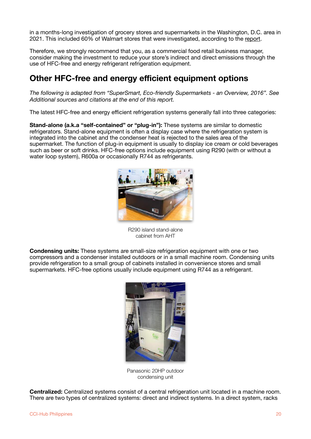in a months-long investigation of grocery stores and supermarkets in the Washington, D.C. area in 2021. This included 60% of Walmart stores that were investigated, according to the [report](https://eia-global.org/reports/20210215-leaking-havoc-report#:~:text=February%2015,%202021,pollutant%20hydrofluorocarbon%20(HFC)%20refrigerants.&text=Sixty%20percent%20of%20the%20Walmart,EIA%20had%20a%20refrigerant%20leak.).

Therefore, we strongly recommend that you, as a commercial food retail business manager, consider making the investment to reduce your store's indirect and direct emissions through the use of HFC-free and energy refrigerant refrigeration equipment.

### <span id="page-19-0"></span>**Other HFC-free and energy efficient equipment options**

*The following is adapted from "SuperSmart, Eco-friendly Supermarkets - an Overview, 2016". See Additional sources and citations at the end of this report.* 

The latest HFC-free and energy efficient refrigeration systems generally fall into three categories:

**Stand-alone (a.k.a "self-contained" or "plug-in"):** These systems are similar to domestic refrigerators. Stand-alone equipment is often a display case where the refrigeration system is integrated into the cabinet and the condenser heat is rejected to the sales area of the supermarket. The function of plug-in equipment is usually to display ice cream or cold beverages such as beer or soft drinks. HFC-free options include equipment using R290 (with or without a water loop system), R600a or occasionally R744 as refrigerants.



R290 island stand-alone cabinet from AHT

**Condensing units:** These systems are small-size refrigeration equipment with one or two compressors and a condenser installed outdoors or in a small machine room. Condensing units provide refrigeration to a small group of cabinets installed in convenience stores and small supermarkets. HFC-free options usually include equipment using R744 as a refrigerant.



Panasonic 20HP outdoor condensing unit

**Centralized:** Centralized systems consist of a central refrigeration unit located in a machine room. There are two types of centralized systems: direct and indirect systems. In a direct system, racks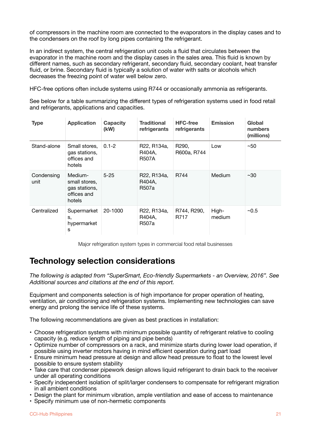of compressors in the machine room are connected to the evaporators in the display cases and to the condensers on the roof by long pipes containing the refrigerant.

In an indirect system, the central refrigeration unit cools a fluid that circulates between the evaporator in the machine room and the display cases in the sales area. This fluid is known by different names, such as secondary refrigerant, secondary fluid, secondary coolant, heat transfer fluid, or brine. Secondary fluid is typically a solution of water with salts or alcohols which decreases the freezing point of water well below zero.

HFC-free options often include systems using R744 or occasionally ammonia as refrigerants.

See below for a table summarizing the different types of refrigeration systems used in food retail and refrigerants, applications and capacities.

| <b>Type</b>        | <b>Application</b>                                                 | <b>Capacity</b><br>(kW) | <b>Traditional</b><br>refrigerants          | <b>HFC-free</b><br>refrigerants   | <b>Emission</b> | Global<br>numbers<br>(millions) |
|--------------------|--------------------------------------------------------------------|-------------------------|---------------------------------------------|-----------------------------------|-----------------|---------------------------------|
| Stand-alone        | Small stores,<br>gas stations,<br>offices and<br>hotels            | $0.1 - 2$               | R22, R134a,<br>R404A,<br><b>R507A</b>       | R <sub>290</sub> ,<br>R600a, R744 | Low             | ~50                             |
| Condensing<br>unit | Medium-<br>small stores,<br>gas stations,<br>offices and<br>hotels | $5 - 25$                | R22, R134a,<br>R404A,<br>R <sub>50</sub> 7a | R744                              | Medium          | $~1$ – 30                       |
| Centralized        | Supermarket<br>s.<br>hypermarket<br>s                              | 20-1000                 | R22, R134a,<br>R404A,<br>R507a              | R744, R290,<br>R717               | High-<br>medium | ~10.5                           |

Major refrigeration system types in commercial food retail businesses

### <span id="page-20-0"></span>**Technology selection considerations**

*The following is adapted from "SuperSmart, Eco-friendly Supermarkets - an Overview, 2016". See Additional sources and citations at the end of this report.* 

Equipment and components selection is of high importance for proper operation of heating, ventilation, air conditioning and refrigeration systems. Implementing new technologies can save energy and prolong the service life of these systems.

The following recommendations are given as best practices in installation:

- Choose refrigeration systems with minimum possible quantity of refrigerant relative to cooling capacity (e.g. reduce length of piping and pipe bends)
- Optimize number of compressors on a rack, and minimize starts during lower load operation, if possible using inverter motors having in mind efficient operation during part load
- Ensure minimum head pressure at design and allow head pressure to float to the lowest level possible to ensure system stability
- Take care that condenser pipework design allows liquid refrigerant to drain back to the receiver under all operating conditions
- Specify independent isolation of split/larger condensers to compensate for refrigerant migration in all ambient conditions
- Design the plant for minimum vibration, ample ventilation and ease of access to maintenance
- Specify minimum use of non-hermetic components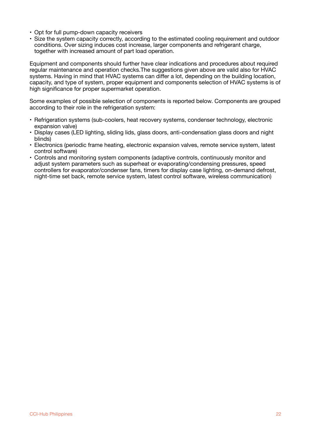- Opt for full pump-down capacity receivers
- Size the system capacity correctly, according to the estimated cooling requirement and outdoor conditions. Over sizing induces cost increase, larger components and refrigerant charge, together with increased amount of part load operation.

Equipment and components should further have clear indications and procedures about required regular maintenance and operation checks.The suggestions given above are valid also for HVAC systems. Having in mind that HVAC systems can differ a lot, depending on the building location, capacity, and type of system, proper equipment and components selection of HVAC systems is of high significance for proper supermarket operation.

Some examples of possible selection of components is reported below. Components are grouped according to their role in the refrigeration system:

- Refrigeration systems (sub-coolers, heat recovery systems, condenser technology, electronic expansion valve)
- Display cases (LED lighting, sliding lids, glass doors, anti-condensation glass doors and night blinds)
- Electronics (periodic frame heating, electronic expansion valves, remote service system, latest control software)
- Controls and monitoring system components (adaptive controls, continuously monitor and adjust system parameters such as superheat or evaporating/condensing pressures, speed controllers for evaporator/condenser fans, timers for display case lighting, on-demand defrost, night-time set back, remote service system, latest control software, wireless communication)